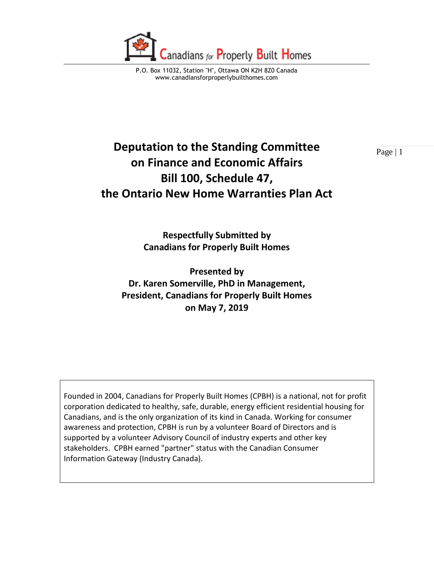

P.O. Box 11032, Station "H", Ottawa ON K2H 8Z0 Canada www.canadiansforproperlybuilthomes.com

## **Deputation to the Standing Committee**  $\frac{}{\text{Page } | 1}$ **on Finance and Economic Affairs Bill 100, Schedule 47, the Ontario New Home Warranties Plan Act**

**Respectfully Submitted by Canadians for Properly Built Homes** 

**Presented by Dr. Karen Somerville, PhD in Management, President, Canadians for Properly Built Homes on May 7, 2019**

Founded in 2004, Canadians for Properly Built Homes (CPBH) is a national, not for profit corporation dedicated to healthy, safe, durable, energy efficient residential housing for Canadians, and is the only organization of its kind in Canada. Working for consumer awareness and protection, CPBH is run by a volunteer Board of Directors and is supported by a volunteer Advisory Council of industry experts and other key stakeholders. CPBH earned "partner" status with the Canadian Consumer Information Gateway (Industry Canada).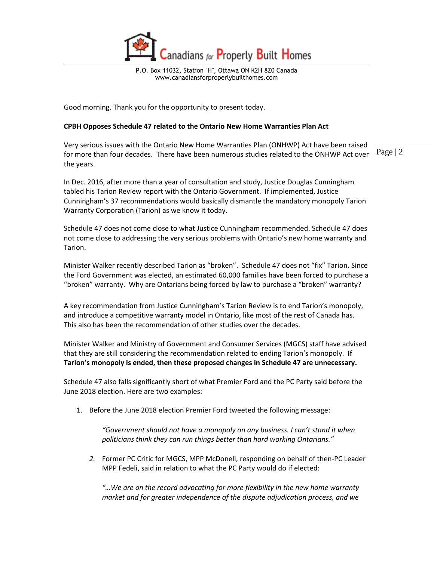

P.O. Box 11032, Station "H", Ottawa ON K2H 8Z0 Canada www.canadiansforproperlybuilthomes.com

Good morning. Thank you for the opportunity to present today.

## **CPBH Opposes Schedule 47 related to the Ontario New Home Warranties Plan Act**

Page | 2 Very serious issues with the Ontario New Home Warranties Plan (ONHWP) Act have been raised for more than four decades. There have been numerous studies related to the ONHWP Act over the years.

In Dec. 2016, after more than a year of consultation and study, Justice Douglas Cunningham tabled his Tarion Review report with the Ontario Government. If implemented, Justice Cunningham's 37 recommendations would basically dismantle the mandatory monopoly Tarion Warranty Corporation (Tarion) as we know it today.

Schedule 47 does not come close to what Justice Cunningham recommended. Schedule 47 does not come close to addressing the very serious problems with Ontario's new home warranty and Tarion.

Minister Walker recently described Tarion as "broken". Schedule 47 does not "fix" Tarion. Since the Ford Government was elected, an estimated 60,000 families have been forced to purchase a "broken" warranty. Why are Ontarians being forced by law to purchase a "broken" warranty?

A key recommendation from Justice Cunningham's Tarion Review is to end Tarion's monopoly, and introduce a competitive warranty model in Ontario, like most of the rest of Canada has. This also has been the recommendation of other studies over the decades.

Minister Walker and Ministry of Government and Consumer Services (MGCS) staff have advised that they are still considering the recommendation related to ending Tarion's monopoly. **If Tarion's monopoly is ended, then these proposed changes in Schedule 47 are unnecessary.** 

Schedule 47 also falls significantly short of what Premier Ford and the PC Party said before the June 2018 election. Here are two examples:

1. Before the June 2018 election Premier Ford tweeted the following message:

*"Government should not have a monopoly on any business. I can't stand it when politicians think they can run things better than hard working Ontarians."*

*2.* Former PC Critic for MGCS, MPP McDonell, responding on behalf of then-PC Leader MPP Fedeli, said in relation to what the PC Party would do if elected:

*"…We are on the record advocating for more flexibility in the new home warranty market and for greater independence of the dispute adjudication process, and we*